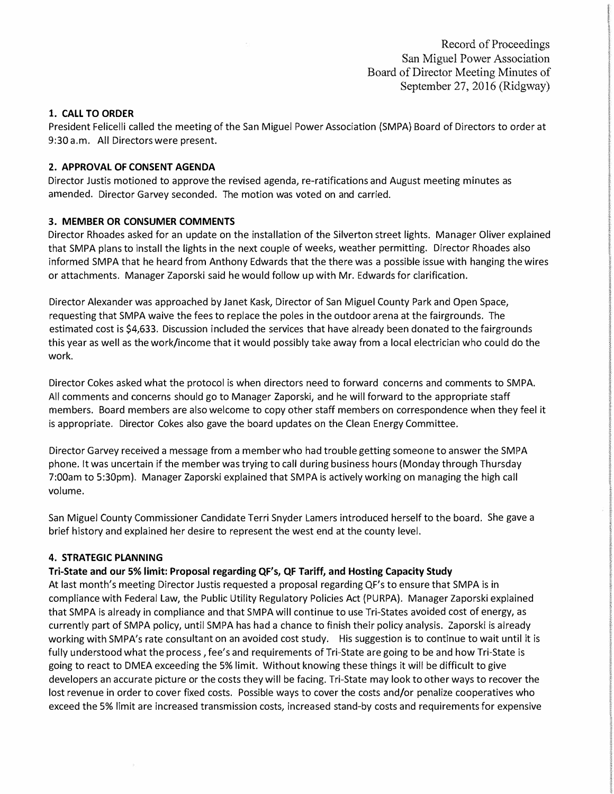Record of Proceedings San Miguel Power Association Board of Director Meeting Minutes of September 27, 2016 (Ridgway)

## **1. CALL TO ORDER**

President Felicelli called the meeting of the San Miguel Power Association (SMPA) Board of Directors to order at 9:30 a.m. All Directors were present.

## **2. APPROVAL OF CONSENT AGENDA**

Director Justis motioned to approve the revised agenda, re-ratifications and August meeting minutes as amended. Director Garvey seconded. The motion was voted on and carried.

## **3. MEMBER OR CONSUMER COMMENTS**

Director Rhoades asked for an update on the installation of the Silverton street lights. Manager Oliver explained that SMPA plans to install the lights in the next couple of weeks, weather permitting. Director Rhoades also informed SMPA that he heard from Anthony Edwards that the there was a possible issue with hanging thewires or attachments. Manager Zaporski said he would follow up with Mr. Edwards for clarification.

Director Alexander was approached by Janet Kask, Director of San Miguel County Park and Open Space, requesting that SMPA waive the fees to replace the poles in the outdoor arena at the fairgrounds. The estimated cost is \$4,633. Discussion included the services that have already been donated to the fairgrounds this year as well as the work/income that it would possibly take away from a local electrician who could do the work.

Director Cokes asked what the protocol is when directors need to forward concerns and comments to SMPA. All comments and concerns should go to Manager Zaporski, and he will forward to the appropriate staff members. Board members are also welcome to copy other staff members on correspondence when they feel it is appropriate. Director Cokes also gave the board updates on the Clean Energy Committee.

Director Garvey received a message from a member who had trouble getting someone to answer the SMPA phone. It was uncertain if the member was trying to call during business hours (Monday through Thursday 7:00am to 5:30pm). Manager Zaporski explained that SMPA is actively working on managing the high call volume.

San Miguel County Commissioner Candidate Terri Snyder Lamers introduced herself to the board. She gave a brief history and explained her desire to represent the west end at the county level.

#### **4. STRATEGIC PLANNING**

#### **Tri-State and our 5% limit: Proposal regarding QF's, QF Tariff, and Hosting Capacity Study**

At last month's meeting Director Justis requested a proposal regarding QF's to ensure that SMPA is in compliance with Federal Law, the Public Utility Regulatory Policies Act (PURPA). Manager Zaporski explained that SMPA is already in compliance and that SMPA will continue to use Tri-States avoided cost of energy, as currently part of SMPA policy, until SMPA has had a chance to finish their policy analysis. Zaporski is already working with SMPA's rate consultant on an avoided cost study. His suggestion is to continue to wait until it is fully understood what the process, fee's and requirements of Tri-State are going to be and how Tri-State is going to react to DMEA exceeding the 5% limit. Without knowing these things it will be difficult to give developers an accurate picture or the costs they will be facing. Tri-State may look to other ways to recover the lost revenue in order to cover fixed costs. Possible ways to cover the costs and/or penalize cooperatives who exceed the 5% limit are increased transmission costs, increased stand-by costs and requirements for expensive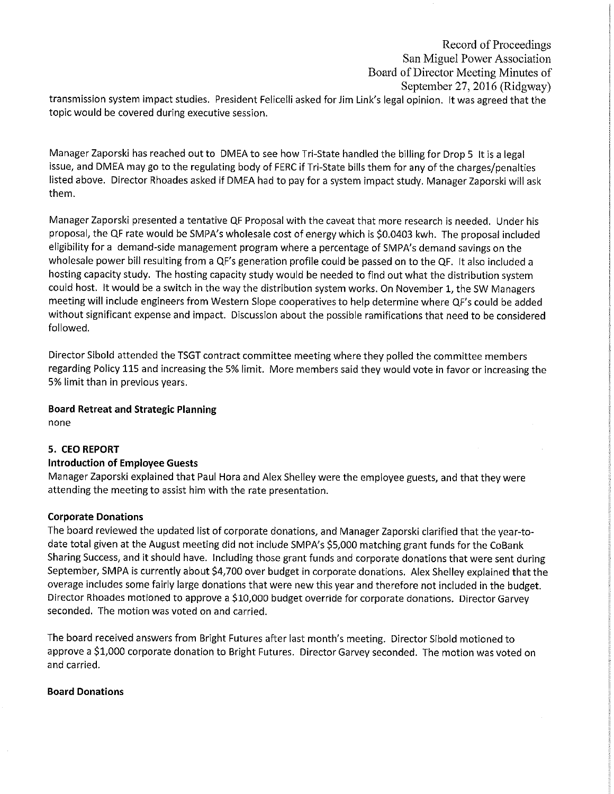# Record of Proceedings San Miguel Power Association Board of Director Meeting Minutes of September 27, 2016 (Ridgway)

transmission system impact studies. President Felicelli asked for Jim Link's legal opinion. It was agreed that the topic would be covered during executive session.

Manager Zaporski has reached out to DMEA to see how Tri-State handled the billing for Drop 5 It is a legal issue, and DMEA may go to the regulating body of FERC if Tri-State bills them for any of the charges/penalties listed above. Director Rhoades asked if DMEA had to pay for a system impact study. Manager Zaporski will ask them.

Manager Zaporski presented a tentative QF Proposal with the caveat that more research is needed. Under his proposal, the QF rate would be SMPA's wholesale cost of energy which is \$0.0403 kwh. The proposal included eligibility for a demand-side management program where a percentage of SMPA's demand savings on the wholesale power bill resulting from a QF's generation profile could be passed on to the QF. It also included a hosting capacity study. The hosting capacity study would be needed to find out what the distribution system could host. It would be a switch in the way the distribution system works. On November 1, the SW Managers meeting will include engineers from Western Slope cooperatives to help determine where QF's could be added without significant expense and impact. Discussion about the possible ramifications that need to be considered followed.

Director Sibold attended the TSGT contract committee meeting where they polled the committee members regarding Policy 115 and increasing the 5% limit. More members said they would vote in favor or increasing the 5% limit than in previous years.

# **Board Retreat and Strategic Planning**

none

# **5. CEO REPORT**

# **Introduction of Employee Guests**

Manager Zaporski explained that Paul Hora and Alex Shelley were the employee guests, and that they were attending the meeting to assist him with the rate presentation.

# **Corporate Donations**

The board reviewed the updated list of corporate donations, and Manager Zaporski clarified that the year-todate total given at the August meeting did not include SMPA's \$5,000 matching grant funds for the CoBank Sharing Success, and it should have. Including those grant funds and corporate donations that were sent during September, SMPA is currently about \$4,700 over budget in corporate donations. Alex Shelley explained that the overage includes some fairly large donations that were new this year and therefore not included in the budget. Director Rhoades motioned to approve a \$10,000 budget override for corporate donations. Director Garvey seconded. The motion was voted on and carried.

The board received answers from Bright Futures after last month's meeting. Director Sibold motioned to approve a \$1,000 corporate donation to Bright Futures. Director Garvey seconded. The motion was voted on and carried.

# **Board Donations**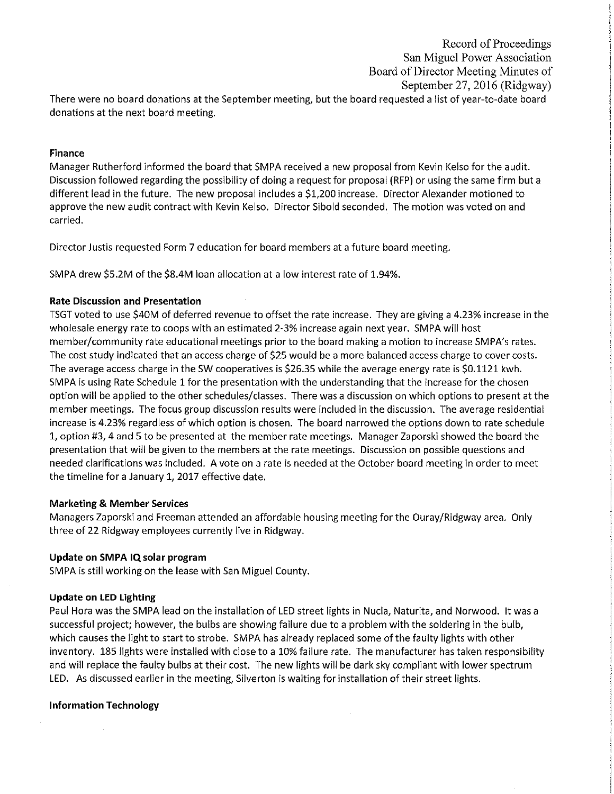# Record of Proceedings San Miguel Power Association Board of Director Meeting Minutes of September 27, 2016 (Ridgway)

There were no board donations at the September meeting, but the board requested a list of year-to-date board donations at the next board meeting.

#### Finance

Manager Rutherford informed the board that SMPA received a new proposal from Kevin Kelso for the audit. Discussion followed regarding the possibility of doing a request for proposal (RFP) or using the same firm but a different lead in the future. The new proposal includes a \$1,200 increase. Director Alexander motioned to approve the new audit contract with Kevin Kelso. Director Sibold seconded. The motion was voted on and carried.

Director Justis requested Form 7 education for board members at a future board meeting.

SMPA drew \$5.2M of the \$8.4M loan allocation at a low interest rate of 1.94%.

## **Rate Discussion and Presentation**

TSGT voted to use \$40M of deferred revenue to offset the rate increase. They are giving a 4.23% increase in the wholesale energy rate to coops with an estimated 2-3% increase again next year. SMPA will host member/community rate educational meetings prior to the board making a motion to increase SMPA's rates. The cost study indicated that an access charge of \$25 would be a more balanced access charge to cover costs. The average access charge in the SW cooperatives is \$26.35 while the average energy rate is \$0.1121 kwh. SMPA is using Rate Schedule 1 for the presentation with the understanding that the increase for the chosen option will be applied to the other schedules/classes. There was a discussion on which options to present at the member meetings. The focus group discussion results were included in the discussion. The average residential increase is 4.23% regardless of which option is chosen. The board narrowed the options down to rate schedule 1, option #3, 4 and 5 to be presented at the member rate meetings. Manager Zaporski showed the board the presentation that will be given to the members at the rate meetings. Discussion on possible questions and needed clarifications was included. A vote on a rate is needed at the October board meeting in order to meet the timeline for a January 1, 2017 effective date.

#### **Marketing & Member Services**

Managers Zaporski and Freeman attended an affordable housing meeting for the Ouray/Ridgway area. Only three of 22 Ridgway employees currently live in Ridgway.

# Update on SMPA IQ solar program

SMPA is still working on the lease with San Miguel County.

#### **Update on LED Lighting**

Paul Hora was the SMPA lead on the installation of LED street lights in Nucla, Naturita, and Norwood. It was a successful project; however, the bulbs are showing failure due to a problem with the soldering in the bulb, which causes the light to start to strobe. SMPA has already replaced some of the faulty lights with other inventory. 185 lights were installed with close to a 10% failure rate. The manufacturer has taken responsibility and will replace the faulty bulbs at their cost. The new lights will be dark sky compliant with lower spectrum LED. As discussed earlier in the meeting, Silverton is waiting for installation of their street lights.

# **Information Technology**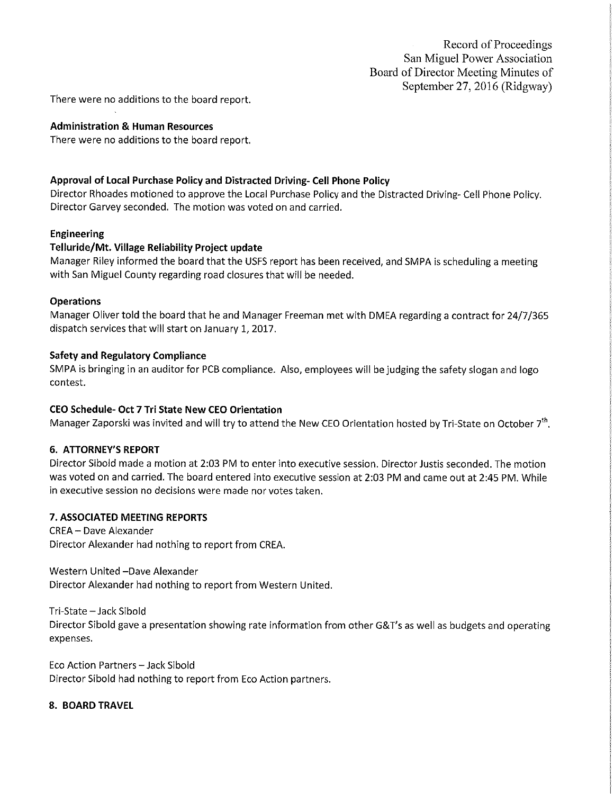There were no additions to the board report.

#### **Administration & Human Resources**

There were no additions to the board report.

## Approval of Local Purchase Policy and Distracted Driving- Cell Phone Policy

Director Rhoades motioned to approve the Local Purchase Policy and the Distracted Driving- Cell Phone Policy. Director Garvey seconded. The motion was voted on and carried.

## Engineering

## Telluride/Mt. Village Reliability Project update

Manager Riley informed the board that the USFS report has been received, and SMPA is scheduling a meeting with San Miguel County regarding road closures that will be needed.

## **Operations**

Manager Oliver told the board that he and Manager Freeman met with DMEA regarding a contract for 24/7/365 dispatch services that will start on January 1, 2017.

## **Safety and Regulatory Compliance**

SMPA is bringing in an auditor for PCB compliance. Also, employees will be judging the safety slogan and logo contest.

# CEO Schedule- Oct 7 Tri State New CEO Orientation

Manager Zaporski was invited and will try to attend the New CEO Orientation hosted by Tri-State on October 7<sup>th</sup>.

# **6. ATTORNEY'S REPORT**

Director Sibold made a motion at 2:03 PM to enter into executive session. Director Justis seconded. The motion was voted on and carried. The board entered into executive session at 2:03 PM and came out at 2:45 PM. While in executive session no decisions were made nor votes taken.

#### 7. ASSOCIATED MEETING REPORTS

**CREA - Dave Alexander** Director Alexander had nothing to report from CREA.

Western United -Dave Alexander

Director Alexander had nothing to report from Western United.

Tri-State - Jack Sibold

Director Sibold gave a presentation showing rate information from other G&T's as well as budgets and operating expenses.

Eco Action Partners - Jack Sibold Director Sibold had nothing to report from Eco Action partners.

# 8. BOARD TRAVEL